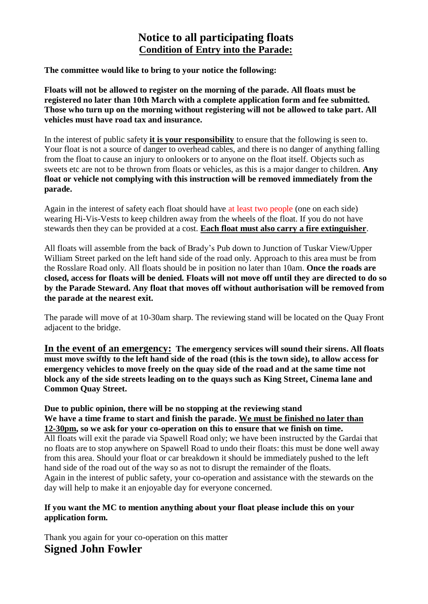## **Notice to all participating floats Condition of Entry into the Parade:**

**The committee would like to bring to your notice the following:**

**Floats will not be allowed to register on the morning of the parade. All floats must be registered no later than 10th March with a complete application form and fee submitted. Those who turn up on the morning without registering will not be allowed to take part. All vehicles must have road tax and insurance.**

In the interest of public safety **it is your responsibility** to ensure that the following is seen to. Your float is not a source of danger to overhead cables, and there is no danger of anything falling from the float to cause an injury to onlookers or to anyone on the float itself. Objects such as sweets etc are not to be thrown from floats or vehicles, as this is a major danger to children. **Any float or vehicle not complying with this instruction will be removed immediately from the parade.**

Again in the interest of safety each float should have at least two people (one on each side) wearing Hi-Vis-Vests to keep children away from the wheels of the float. If you do not have stewards then they can be provided at a cost. **Each float must also carry a fire extinguisher**.

All floats will assemble from the back of Brady's Pub down to Junction of Tuskar View/Upper William Street parked on the left hand side of the road only. Approach to this area must be from the Rosslare Road only. All floats should be in position no later than 10am. **Once the roads are closed, access for floats will be denied. Floats will not move off until they are directed to do so by the Parade Steward. Any float that moves off without authorisation will be removed from the parade at the nearest exit.** 

The parade will move of at 10-30am sharp. The reviewing stand will be located on the Quay Front adjacent to the bridge.

**In the event of an emergency: The emergency services will sound their sirens. All floats must move swiftly to the left hand side of the road (this is the town side), to allow access for emergency vehicles to move freely on the quay side of the road and at the same time not block any of the side streets leading on to the quays such as King Street, Cinema lane and Common Quay Street.**

**Due to public opinion, there will be no stopping at the reviewing stand We have a time frame to start and finish the parade. We must be finished no later than 12-30pm, so we ask for your co-operation on this to ensure that we finish on time.** All floats will exit the parade via Spawell Road only; we have been instructed by the Gardai that no floats are to stop anywhere on Spawell Road to undo their floats: this must be done well away from this area. Should your float or car breakdown it should be immediately pushed to the left hand side of the road out of the way so as not to disrupt the remainder of the floats. Again in the interest of public safety, your co-operation and assistance with the stewards on the day will help to make it an enjoyable day for everyone concerned.

## **If you want the MC to mention anything about your float please include this on your application form.**

Thank you again for your co-operation on this matter **Signed John Fowler**